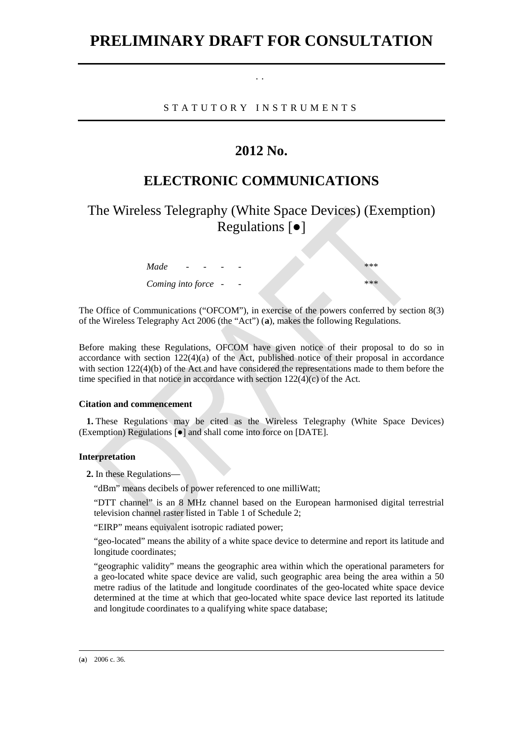# **PRELIMINARY DRAFT FOR CONSULTATION**

STATUTORY INSTRUMENT S

. .

### **2012 No.**

## **ELECTRONIC COMMUNICATIONS**

The Wireless Telegraphy (White Space Devices) (Exemption) Regulations [●]

| Made<br>$\overline{\phantom{0}}$ | - | -                        | *** |
|----------------------------------|---|--------------------------|-----|
| Coming into force -              |   | $\overline{\phantom{a}}$ | *** |

The Office of Communications ("OFCOM"), in exercise of the powers conferred by section 8(3) of the Wireless Telegraphy Act 2006 (the "Act") (**[a](#page-0-0)**), makes the following Regulations.

Before making these Regulations, OFCOM have given notice of their proposal to do so in accordance with section  $122(4)(a)$  of the Act, published notice of their proposal in accordance with section 122(4)(b) of the Act and have considered the representations made to them before the time specified in that notice in accordance with section 122(4)(c) of the Act.

#### **Citation and commencement**

**1.** These Regulations may be cited as the Wireless Telegraphy (White Space Devices) (Exemption) Regulations [●] and shall come into force on [DATE].

### **Interpretation**

**2.** In these Regulations—

"dBm" means decibels of power referenced to one milliWatt;

"DTT channel" is an 8 MHz channel based on the European harmonised digital terrestrial television channel raster listed in Table 1 of Schedule 2;

"EIRP" means equivalent isotropic radiated power;

"geo-located" means the ability of a white space device to determine and report its latitude and longitude coordinates;

"geographic validity" means the geographic area within which the operational parameters for a geo-located white space device are valid, such geographic area being the area within a 50 metre radius of the latitude and longitude coordinates of the geo-located white space device determined at the time at which that geo-located white space device last reported its latitude and longitude coordinates to a qualifying white space database;

<span id="page-0-0"></span>(**a**) 2006 c. 36.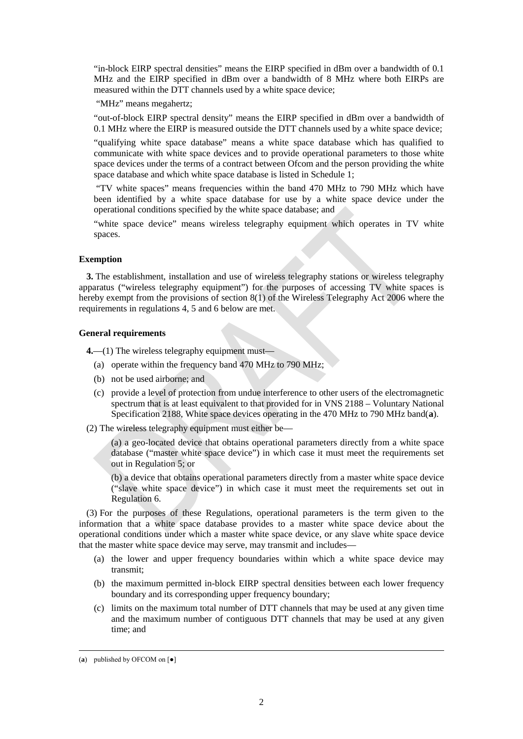"in-block EIRP spectral densities" means the EIRP specified in dBm over a bandwidth of 0.1 MHz and the EIRP specified in dBm over a bandwidth of 8 MHz where both EIRPs are measured within the DTT channels used by a white space device;

"MHz" means megahertz;

"out-of-block EIRP spectral density" means the EIRP specified in dBm over a bandwidth of 0.1 MHz where the EIRP is measured outside the DTT channels used by a white space device;

"qualifying white space database" means a white space database which has qualified to communicate with white space devices and to provide operational parameters to those white space devices under the terms of a contract between Ofcom and the person providing the white space database and which white space database is listed in Schedule 1;

"TV white spaces" means frequencies within the band 470 MHz to 790 MHz which have been identified by a white space database for use by a white space device under the operational conditions specified by the white space database; and

"white space device" means wireless telegraphy equipment which operates in TV white spaces.

#### **Exemption**

**3.** The establishment, installation and use of wireless telegraphy stations or wireless telegraphy apparatus ("wireless telegraphy equipment") for the purposes of accessing TV white spaces is hereby exempt from the provisions of section 8(1) of the Wireless Telegraphy Act 2006 where the requirements in regulations 4, 5 and 6 below are met.

#### **General requirements**

**4.**—(1) The wireless telegraphy equipment must—

- (a) operate within the frequency band 470 MHz to 790 MHz;
- (b) not be used airborne; and
- (c) provide a level of protection from undue interference to other users of the electromagnetic spectrum that is at least equivalent to that provided for in VNS 2188 – Voluntary National Specification 2188, White space devices operating in the 470 MHz to 790 MHz band(**[a](#page-1-0)**).
- (2) The wireless telegraphy equipment must either be—

(a) a geo-located device that obtains operational parameters directly from a white space database ("master white space device") in which case it must meet the requirements set out in Regulation 5; or

(b) a device that obtains operational parameters directly from a master white space device ("slave white space device") in which case it must meet the requirements set out in Regulation 6.

(3) For the purposes of these Regulations, operational parameters is the term given to the information that a white space database provides to a master white space device about the operational conditions under which a master white space device, or any slave white space device that the master white space device may serve, may transmit and includes—

- (a) the lower and upper frequency boundaries within which a white space device may transmit;
- (b) the maximum permitted in-block EIRP spectral densities between each lower frequency boundary and its corresponding upper frequency boundary;
- (c) limits on the maximum total number of DTT channels that may be used at any given time and the maximum number of contiguous DTT channels that may be used at any given time; and

<span id="page-1-0"></span> <sup>(</sup>**<sup>a</sup>**) published by OFCOM on [●]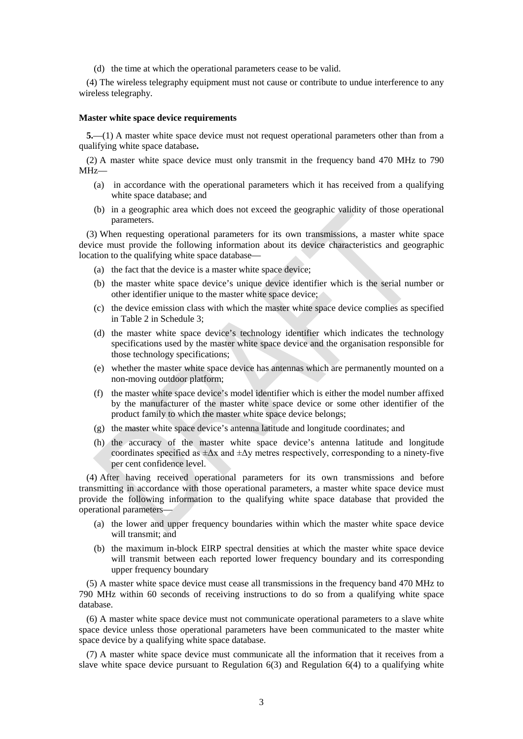(d) the time at which the operational parameters cease to be valid.

(4) The wireless telegraphy equipment must not cause or contribute to undue interference to any wireless telegraphy.

#### **Master white space device requirements**

**5.**—(1) A master white space device must not request operational parameters other than from a qualifying white space database**.**

(2) A master white space device must only transmit in the frequency band 470 MHz to 790 MHz—

- (a) in accordance with the operational parameters which it has received from a qualifying white space database; and
- (b) in a geographic area which does not exceed the geographic validity of those operational parameters.

(3) When requesting operational parameters for its own transmissions, a master white space device must provide the following information about its device characteristics and geographic location to the qualifying white space database—

- (a) the fact that the device is a master white space device;
- (b) the master white space device's unique device identifier which is the serial number or other identifier unique to the master white space device;
- (c) the device emission class with which the master white space device complies as specified in Table 2 in Schedule 3;
- (d) the master white space device's technology identifier which indicates the technology specifications used by the master white space device and the organisation responsible for those technology specifications;
- (e) whether the master white space device has antennas which are permanently mounted on a non-moving outdoor platform;
- (f) the master white space device's model identifier which is either the model number affixed by the manufacturer of the master white space device or some other identifier of the product family to which the master white space device belongs;
- (g) the master white space device's antenna latitude and longitude coordinates; and
- (h) the accuracy of the master white space device's antenna latitude and longitude coordinates specified as  $\pm \Delta x$  and  $\pm \Delta y$  metres respectively, corresponding to a ninety-five per cent confidence level.

(4) After having received operational parameters for its own transmissions and before transmitting in accordance with those operational parameters, a master white space device must provide the following information to the qualifying white space database that provided the operational parameters—

- (a) the lower and upper frequency boundaries within which the master white space device will transmit; and
- (b) the maximum in-block EIRP spectral densities at which the master white space device will transmit between each reported lower frequency boundary and its corresponding upper frequency boundary

(5) A master white space device must cease all transmissions in the frequency band 470 MHz to 790 MHz within 60 seconds of receiving instructions to do so from a qualifying white space database.

(6) A master white space device must not communicate operational parameters to a slave white space device unless those operational parameters have been communicated to the master white space device by a qualifying white space database.

(7) A master white space device must communicate all the information that it receives from a slave white space device pursuant to Regulation  $6(3)$  and Regulation  $6(4)$  to a qualifying white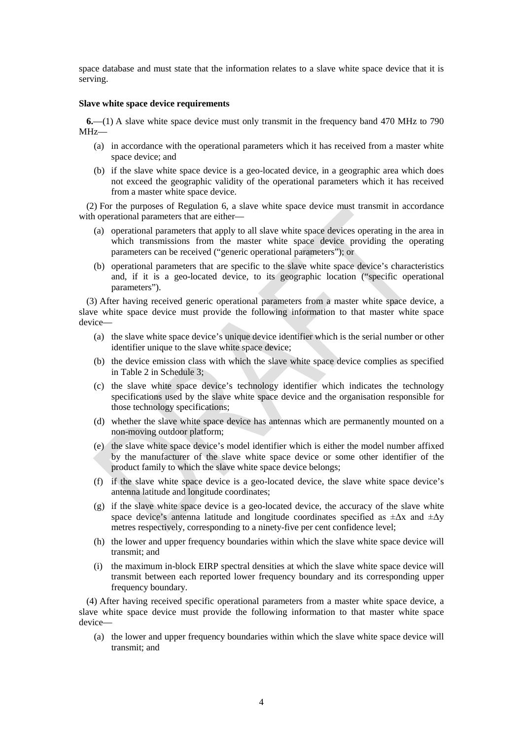space database and must state that the information relates to a slave white space device that it is serving.

#### **Slave white space device requirements**

**6.**—(1) A slave white space device must only transmit in the frequency band 470 MHz to 790 MHz—

- (a) in accordance with the operational parameters which it has received from a master white space device; and
- (b) if the slave white space device is a geo-located device, in a geographic area which does not exceed the geographic validity of the operational parameters which it has received from a master white space device.

(2) For the purposes of Regulation 6, a slave white space device must transmit in accordance with operational parameters that are either—

- (a) operational parameters that apply to all slave white space devices operating in the area in which transmissions from the master white space device providing the operating parameters can be received ("generic operational parameters"); or
- (b) operational parameters that are specific to the slave white space device's characteristics and, if it is a geo-located device, to its geographic location ("specific operational parameters").

(3) After having received generic operational parameters from a master white space device, a slave white space device must provide the following information to that master white space device—

- (a) the slave white space device's unique device identifier which is the serial number or other identifier unique to the slave white space device;
- (b) the device emission class with which the slave white space device complies as specified in Table 2 in Schedule 3;
- (c) the slave white space device's technology identifier which indicates the technology specifications used by the slave white space device and the organisation responsible for those technology specifications;
- (d) whether the slave white space device has antennas which are permanently mounted on a non-moving outdoor platform;
- (e) the slave white space device's model identifier which is either the model number affixed by the manufacturer of the slave white space device or some other identifier of the product family to which the slave white space device belongs;
- (f) if the slave white space device is a geo-located device, the slave white space device's antenna latitude and longitude coordinates;
- (g) if the slave white space device is a geo-located device, the accuracy of the slave white space device's antenna latitude and longitude coordinates specified as  $\pm \Delta x$  and  $\pm \Delta y$ metres respectively, corresponding to a ninety-five per cent confidence level;
- (h) the lower and upper frequency boundaries within which the slave white space device will transmit; and
- (i) the maximum in-block EIRP spectral densities at which the slave white space device will transmit between each reported lower frequency boundary and its corresponding upper frequency boundary.

(4) After having received specific operational parameters from a master white space device, a slave white space device must provide the following information to that master white space device—

(a) the lower and upper frequency boundaries within which the slave white space device will transmit; and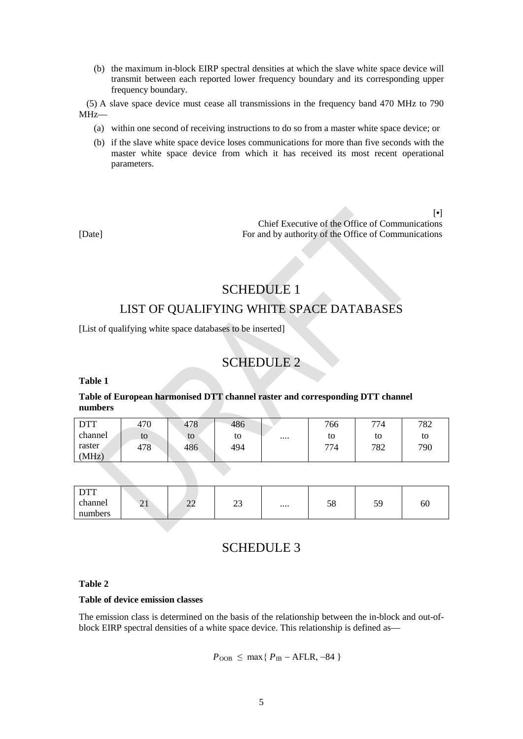(b) the maximum in-block EIRP spectral densities at which the slave white space device will transmit between each reported lower frequency boundary and its corresponding upper frequency boundary.

(5) A slave space device must cease all transmissions in the frequency band 470 MHz to 790 MHz—

- (a) within one second of receiving instructions to do so from a master white space device; or
- (b) if the slave white space device loses communications for more than five seconds with the master white space device from which it has received its most recent operational parameters.

[**•**] Chief Executive of the Office of Communications [Date] For and by authority of the Office of Communications

# SCHEDULE 1 LIST OF QUALIFYING WHITE SPACE DATABASES

[List of qualifying white space databases to be inserted]

## SCHEDULE 2

**Table 1**

### **Table of European harmonised DTT channel raster and corresponding DTT channel numbers**

| <b>DTT</b> | 470 | 478 | 486 | 766    | 774 | 782 |
|------------|-----|-----|-----|--------|-----|-----|
| channel    | to  | to  | to  | <br>to | to  | to  |
| raster     | 478 | 486 | 494 | 774    | 782 | 790 |
| (MHz)      |     |     |     |        |     |     |

| $\Gamma$<br><i><u>DII</u></i> |                               |                                    |               |              |           |    |
|-------------------------------|-------------------------------|------------------------------------|---------------|--------------|-----------|----|
| channel                       | $\bigcap$ 1<br>$\overline{a}$ | $\sim$<br>$\overline{\phantom{a}}$ | $\sim$<br>ر_ر | <br>c٥<br>J0 | 50<br>ر ر | 60 |
| numbers                       |                               |                                    |               |              |           |    |

### SCHEDULE 3

#### **Table 2**

#### **Table of device emission classes**

The emission class is determined on the basis of the relationship between the in-block and out-ofblock EIRP spectral densities of a white space device. This relationship is defined as—

$$
P_{\rm OOB} \leq \max\{P_{\rm IB} - AFLR, -84\}
$$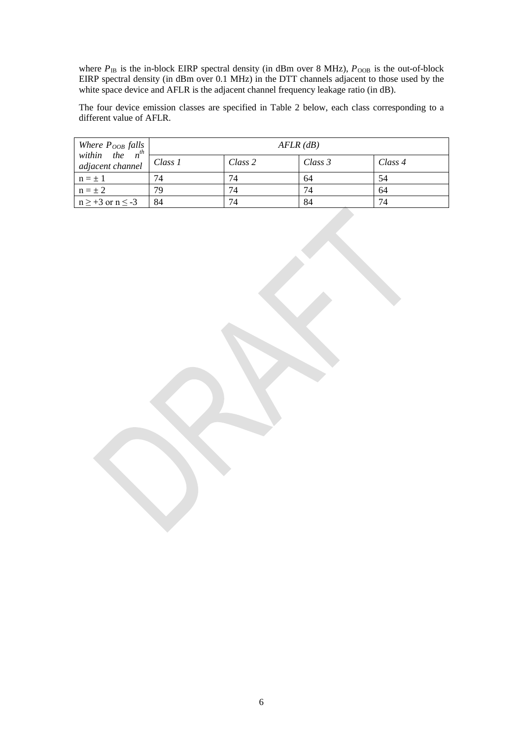where  $P_{\text{IB}}$  is the in-block EIRP spectral density (in dBm over 8 MHz),  $P_{\text{OOB}}$  is the out-of-block EIRP spectral density (in dBm over 0.1 MHz) in the DTT channels adjacent to those used by the white space device and AFLR is the adjacent channel frequency leakage ratio (in dB).

The four device emission classes are specified in Table 2 below, each class corresponding to a different value of AFLR.

| Where $P_{OOB}$ falls<br>within the $n^{th}$ | $AFLR$ (dB) |         |         |         |  |
|----------------------------------------------|-------------|---------|---------|---------|--|
| adjacent channel                             | Class 1     | Class 2 | Class 3 | Class 4 |  |
| $n = \pm 1$                                  | 74          | 74      | 64      | 54      |  |
| $n = \pm 2$                                  | 79          | 74      | 74      | 64      |  |
| $n \geq +3$ or $n \leq -3$                   | 84          | 74      | 84      | 74      |  |